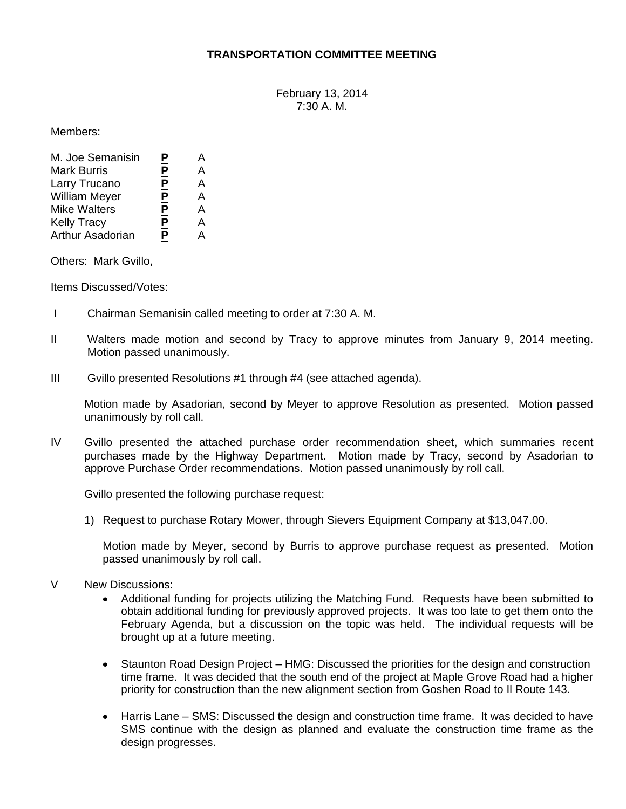## **TRANSPORTATION COMMITTEE MEETING**

February 13, 2014 7:30 A. M.

Members:

| M. Joe Semanisin     | <u>P</u> | А |
|----------------------|----------|---|
| <b>Mark Burris</b>   | <u>P</u> | А |
| Larry Trucano        | <u>P</u> | А |
| <b>William Meyer</b> | <u>P</u> | А |
| <b>Mike Walters</b>  | <u>P</u> | А |
| <b>Kelly Tracy</b>   | <u>P</u> | А |
| Arthur Asadorian     | <u>P</u> | Δ |

Others: Mark Gvillo,

Items Discussed/Votes:

- I Chairman Semanisin called meeting to order at 7:30 A. M.
- II Walters made motion and second by Tracy to approve minutes from January 9, 2014 meeting. Motion passed unanimously.
- III Gvillo presented Resolutions #1 through #4 (see attached agenda).

Motion made by Asadorian, second by Meyer to approve Resolution as presented. Motion passed unanimously by roll call.

IV Gvillo presented the attached purchase order recommendation sheet, which summaries recent purchases made by the Highway Department. Motion made by Tracy, second by Asadorian to approve Purchase Order recommendations. Motion passed unanimously by roll call.

Gvillo presented the following purchase request:

1) Request to purchase Rotary Mower, through Sievers Equipment Company at \$13,047.00.

Motion made by Meyer, second by Burris to approve purchase request as presented. Motion passed unanimously by roll call.

- V New Discussions:
	- Additional funding for projects utilizing the Matching Fund. Requests have been submitted to obtain additional funding for previously approved projects. It was too late to get them onto the February Agenda, but a discussion on the topic was held. The individual requests will be brought up at a future meeting.
	- Staunton Road Design Project HMG: Discussed the priorities for the design and construction  $\bullet$ time frame. It was decided that the south end of the project at Maple Grove Road had a higher priority for construction than the new alignment section from Goshen Road to Il Route 143.
	- Harris Lane SMS: Discussed the design and construction time frame. It was decided to have SMS continue with the design as planned and evaluate the construction time frame as the design progresses.